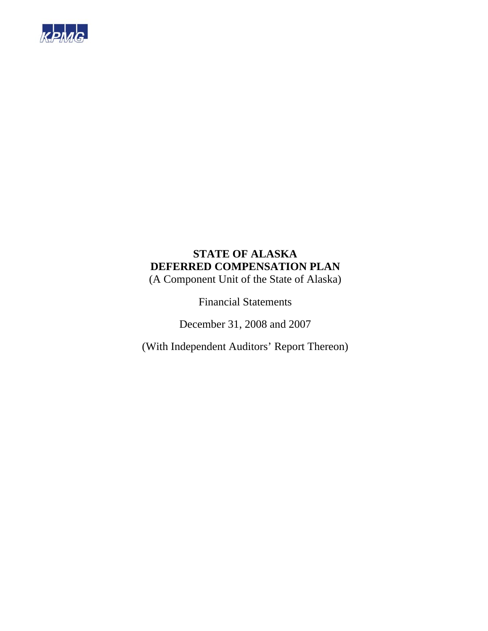

(A Component Unit of the State of Alaska)

Financial Statements

December 31, 2008 and 2007

(With Independent Auditors' Report Thereon)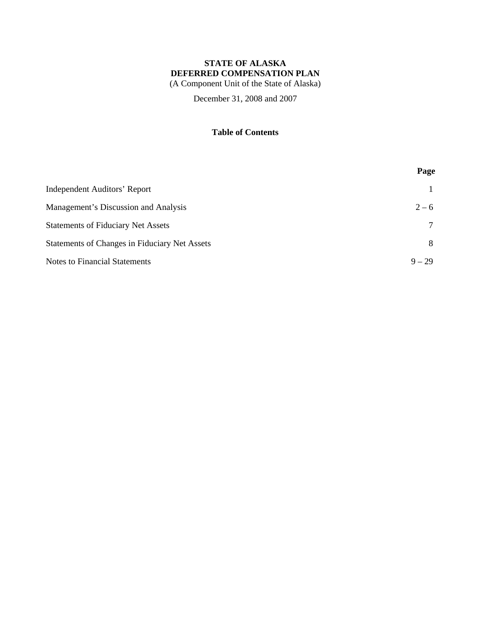(A Component Unit of the State of Alaska)

December 31, 2008 and 2007

### **Table of Contents**

|                                               | Page     |
|-----------------------------------------------|----------|
| Independent Auditors' Report                  |          |
| Management's Discussion and Analysis          | $2 - 6$  |
| <b>Statements of Fiduciary Net Assets</b>     | $\tau$   |
| Statements of Changes in Fiduciary Net Assets | 8        |
| Notes to Financial Statements                 | $9 - 29$ |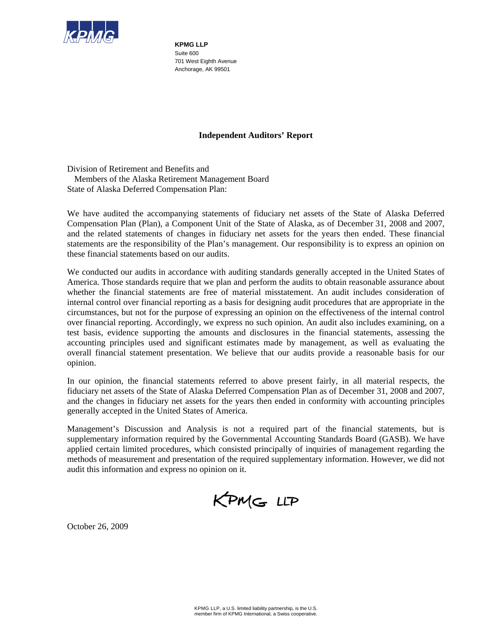

**KPMG LLP**  Suite 600 701 West Eighth Avenue Anchorage, AK 99501

### **Independent Auditors' Report**

Division of Retirement and Benefits and Members of the Alaska Retirement Management Board State of Alaska Deferred Compensation Plan:

We have audited the accompanying statements of fiduciary net assets of the State of Alaska Deferred Compensation Plan (Plan), a Component Unit of the State of Alaska, as of December 31, 2008 and 2007, and the related statements of changes in fiduciary net assets for the years then ended. These financial statements are the responsibility of the Plan's management. Our responsibility is to express an opinion on these financial statements based on our audits.

We conducted our audits in accordance with auditing standards generally accepted in the United States of America. Those standards require that we plan and perform the audits to obtain reasonable assurance about whether the financial statements are free of material misstatement. An audit includes consideration of internal control over financial reporting as a basis for designing audit procedures that are appropriate in the circumstances, but not for the purpose of expressing an opinion on the effectiveness of the internal control over financial reporting. Accordingly, we express no such opinion. An audit also includes examining, on a test basis, evidence supporting the amounts and disclosures in the financial statements, assessing the accounting principles used and significant estimates made by management, as well as evaluating the overall financial statement presentation. We believe that our audits provide a reasonable basis for our opinion.

In our opinion, the financial statements referred to above present fairly, in all material respects, the fiduciary net assets of the State of Alaska Deferred Compensation Plan as of December 31, 2008 and 2007, and the changes in fiduciary net assets for the years then ended in conformity with accounting principles generally accepted in the United States of America.

Management's Discussion and Analysis is not a required part of the financial statements, but is supplementary information required by the Governmental Accounting Standards Board (GASB). We have applied certain limited procedures, which consisted principally of inquiries of management regarding the methods of measurement and presentation of the required supplementary information. However, we did not audit this information and express no opinion on it.

KPMG LLP

October 26, 2009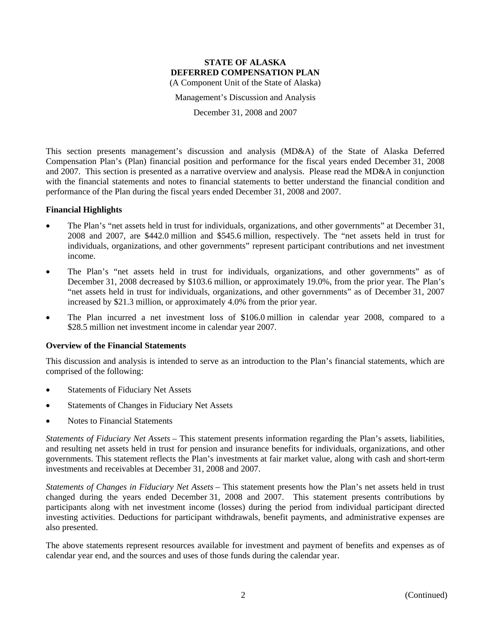Management's Discussion and Analysis

December 31, 2008 and 2007

This section presents management's discussion and analysis (MD&A) of the State of Alaska Deferred Compensation Plan's (Plan) financial position and performance for the fiscal years ended December 31, 2008 and 2007. This section is presented as a narrative overview and analysis. Please read the MD&A in conjunction with the financial statements and notes to financial statements to better understand the financial condition and performance of the Plan during the fiscal years ended December 31, 2008 and 2007.

### **Financial Highlights**

- The Plan's "net assets held in trust for individuals, organizations, and other governments" at December 31, 2008 and 2007, are \$442.0 million and \$545.6 million, respectively. The "net assets held in trust for individuals, organizations, and other governments" represent participant contributions and net investment income.
- The Plan's "net assets held in trust for individuals, organizations, and other governments" as of December 31, 2008 decreased by \$103.6 million, or approximately 19.0%, from the prior year. The Plan's "net assets held in trust for individuals, organizations, and other governments" as of December 31, 2007 increased by \$21.3 million, or approximately 4.0% from the prior year.
- The Plan incurred a net investment loss of \$106.0 million in calendar year 2008, compared to a \$28.5 million net investment income in calendar year 2007.

### **Overview of the Financial Statements**

This discussion and analysis is intended to serve as an introduction to the Plan's financial statements, which are comprised of the following:

- Statements of Fiduciary Net Assets
- Statements of Changes in Fiduciary Net Assets
- Notes to Financial Statements

*Statements of Fiduciary Net Assets* – This statement presents information regarding the Plan's assets, liabilities, and resulting net assets held in trust for pension and insurance benefits for individuals, organizations, and other governments. This statement reflects the Plan's investments at fair market value, along with cash and short-term investments and receivables at December 31, 2008 and 2007.

*Statements of Changes in Fiduciary Net Assets* – This statement presents how the Plan's net assets held in trust changed during the years ended December 31, 2008 and 2007. This statement presents contributions by participants along with net investment income (losses) during the period from individual participant directed investing activities. Deductions for participant withdrawals, benefit payments, and administrative expenses are also presented.

The above statements represent resources available for investment and payment of benefits and expenses as of calendar year end, and the sources and uses of those funds during the calendar year.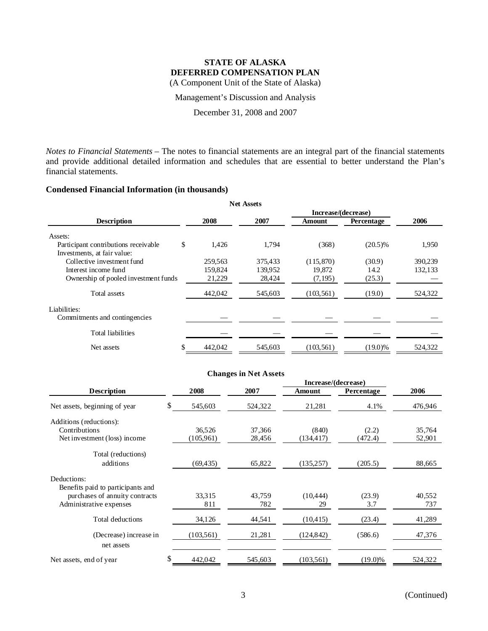(A Component Unit of the State of Alaska)

Management's Discussion and Analysis

December 31, 2008 and 2007

*Notes to Financial Statements* – The notes to financial statements are an integral part of the financial statements and provide additional detailed information and schedules that are essential to better understand the Plan's financial statements.

### **Condensed Financial Information (in thousands)**

|                                                                     |    |         | <b>Net Assets</b> |                     |            |         |
|---------------------------------------------------------------------|----|---------|-------------------|---------------------|------------|---------|
|                                                                     |    |         |                   | Increase/(decrease) |            |         |
| <b>Description</b>                                                  |    | 2008    | 2007              | Amount              | Percentage | 2006    |
| Assets:                                                             |    |         |                   |                     |            |         |
| Participant contributions receivable<br>Investments, at fair value: | \$ | 1,426   | 1,794             | (368)               | $(20.5)\%$ | 1,950   |
| Collective investment fund                                          |    | 259,563 | 375,433           | (115, 870)          | (30.9)     | 390,239 |
| Interest income fund                                                |    | 159,824 | 139,952           | 19,872              | 14.2       | 132,133 |
| Ownership of pooled investment funds                                |    | 21,229  | 28,424            | (7, 195)            | (25.3)     |         |
| Total assets                                                        |    | 442,042 | 545,603           | (103, 561)          | (19.0)     | 524,322 |
| Liabilities:<br>Commitments and contingencies                       |    |         |                   |                     |            |         |
| <b>Total liabilities</b>                                            |    |         |                   |                     |            |         |
| Net assets                                                          | S  | 442,042 | 545,603           | (103, 561)          | $(19.0)\%$ | 524,322 |

| <b>Changes in Net Assets</b>      |     |            |         |            |            |         |  |  |  |  |
|-----------------------------------|-----|------------|---------|------------|------------|---------|--|--|--|--|
| Increase/(decrease)               |     |            |         |            |            |         |  |  |  |  |
| <b>Description</b>                |     | 2008       | 2007    | Amount     | Percentage | 2006    |  |  |  |  |
| Net assets, beginning of year     | \$. | 545,603    | 524,322 | 21,281     | 4.1%       | 476,946 |  |  |  |  |
| Additions (reductions):           |     |            |         |            |            |         |  |  |  |  |
| Contributions                     |     | 36,526     | 37,366  | (840)      | (2.2)      | 35,764  |  |  |  |  |
| Net investment (loss) income      |     | (105,961)  | 28,456  | (134, 417) | (472.4)    | 52,901  |  |  |  |  |
| Total (reductions)                |     |            |         |            |            |         |  |  |  |  |
| additions                         |     | (69, 435)  | 65,822  | (135, 257) | (205.5)    | 88,665  |  |  |  |  |
| Deductions:                       |     |            |         |            |            |         |  |  |  |  |
| Benefits paid to participants and |     |            |         |            |            |         |  |  |  |  |
| purchases of annuity contracts    |     | 33,315     | 43.759  | (10, 444)  | (23.9)     | 40,552  |  |  |  |  |
| Administrative expenses           |     | 811        | 782     | 29         | 3.7        | 737     |  |  |  |  |
| Total deductions                  |     | 34,126     | 44,541  | (10, 415)  | (23.4)     | 41,289  |  |  |  |  |
| (Decrease) increase in            |     | (103, 561) | 21,281  | (124, 842) | (586.6)    | 47,376  |  |  |  |  |
| net assets                        |     |            |         |            |            |         |  |  |  |  |
| Net assets, end of year           | \$  | 442,042    | 545,603 | (103, 561) | $(19.0)\%$ | 524,322 |  |  |  |  |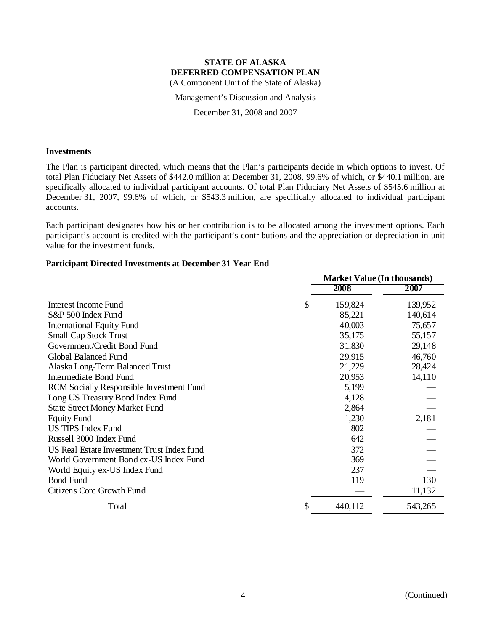Management's Discussion and Analysis

December 31, 2008 and 2007

#### **Investments**

The Plan is participant directed, which means that the Plan's participants decide in which options to invest. Of total Plan Fiduciary Net Assets of \$442.0 million at December 31, 2008, 99.6% of which, or \$440.1 million, are specifically allocated to individual participant accounts. Of total Plan Fiduciary Net Assets of \$545.6 million at December 31, 2007, 99.6% of which, or \$543.3 million, are specifically allocated to individual participant accounts.

Each participant designates how his or her contribution is to be allocated among the investment options. Each participant's account is credited with the participant's contributions and the appreciation or depreciation in unit value for the investment funds.

### **Participant Directed Investments at December 31 Year End**

|                                                 | <b>Market Value (In thousands)</b> |         |  |
|-------------------------------------------------|------------------------------------|---------|--|
|                                                 | 2008                               | 2007    |  |
| <b>Interest Income Fund</b>                     | \$<br>159,824                      | 139,952 |  |
| S&P 500 Index Fund                              | 85,221                             | 140,614 |  |
| <b>International Equity Fund</b>                | 40,003                             | 75,657  |  |
| <b>Small Cap Stock Trust</b>                    | 35,175                             | 55,157  |  |
| Government/Credit Bond Fund                     | 31,830                             | 29,148  |  |
| Global Balanced Fund                            | 29,915                             | 46,760  |  |
| Alaska Long-Term Balanced Trust                 | 21,229                             | 28,424  |  |
| <b>Intermediate Bond Fund</b>                   | 20,953                             | 14,110  |  |
| <b>RCM</b> Socially Responsible Investment Fund | 5,199                              |         |  |
| Long US Treasury Bond Index Fund                | 4,128                              |         |  |
| <b>State Street Money Market Fund</b>           | 2,864                              |         |  |
| <b>Equity Fund</b>                              | 1,230                              | 2,181   |  |
| <b>US TIPS Index Fund</b>                       | 802                                |         |  |
| Russell 3000 Index Fund                         | 642                                |         |  |
| US Real Estate Investment Trust Index fund      | 372                                |         |  |
| World Government Bond ex-US Index Fund          | 369                                |         |  |
| World Equity ex-US Index Fund                   | 237                                |         |  |
| <b>Bond Fund</b>                                | 119                                | 130     |  |
| Citizens Core Growth Fund                       |                                    | 11,132  |  |
| Total                                           | \$<br>440,112                      | 543,265 |  |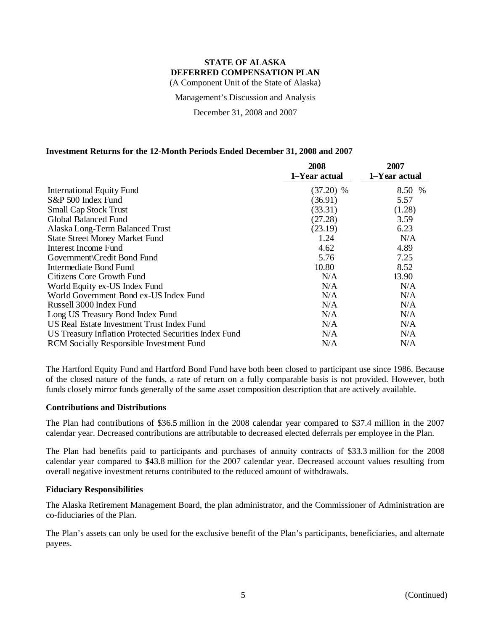Management's Discussion and Analysis

December 31, 2008 and 2007

### **Investment Returns for the 12-Month Periods Ended December 31, 2008 and 2007**

|                                                       | 2008          | 2007          |
|-------------------------------------------------------|---------------|---------------|
|                                                       | 1-Year actual | 1-Year actual |
| <b>International Equity Fund</b>                      | $(37.20)$ %   | 8.50 %        |
| S&P 500 Index Fund                                    | (36.91)       | 5.57          |
| <b>Small Cap Stock Trust</b>                          | (33.31)       | (1.28)        |
| Global Balanced Fund                                  | (27.28)       | 3.59          |
| Alaska Long-Term Balanced Trust                       | (23.19)       | 6.23          |
| <b>State Street Money Market Fund</b>                 | 1.24          | N/A           |
| Interest Income Fund                                  | 4.62          | 4.89          |
| Government \Credit Bond Fund                          | 5.76          | 7.25          |
| Intermediate Bond Fund                                | 10.80         | 8.52          |
| Citizens Core Growth Fund                             | N/A           | 13.90         |
| World Equity ex-US Index Fund                         | N/A           | N/A           |
| World Government Bond ex-US Index Fund                | N/A           | N/A           |
| Russell 3000 Index Fund                               | N/A           | N/A           |
| Long US Treasury Bond Index Fund                      | N/A           | N/A           |
| US Real Estate Investment Trust Index Fund            | N/A           | N/A           |
| US Treasury Inflation Protected Securities Index Fund | N/A           | N/A           |
| <b>RCM</b> Socially Responsible Investment Fund       | N/A           | N/A           |

The Hartford Equity Fund and Hartford Bond Fund have both been closed to participant use since 1986. Because of the closed nature of the funds, a rate of return on a fully comparable basis is not provided. However, both funds closely mirror funds generally of the same asset composition description that are actively available.

### **Contributions and Distributions**

The Plan had contributions of \$36.5 million in the 2008 calendar year compared to \$37.4 million in the 2007 calendar year. Decreased contributions are attributable to decreased elected deferrals per employee in the Plan.

The Plan had benefits paid to participants and purchases of annuity contracts of \$33.3 million for the 2008 calendar year compared to \$43.8 million for the 2007 calendar year. Decreased account values resulting from overall negative investment returns contributed to the reduced amount of withdrawals.

#### **Fiduciary Responsibilities**

The Alaska Retirement Management Board, the plan administrator, and the Commissioner of Administration are co-fiduciaries of the Plan.

The Plan's assets can only be used for the exclusive benefit of the Plan's participants, beneficiaries, and alternate payees.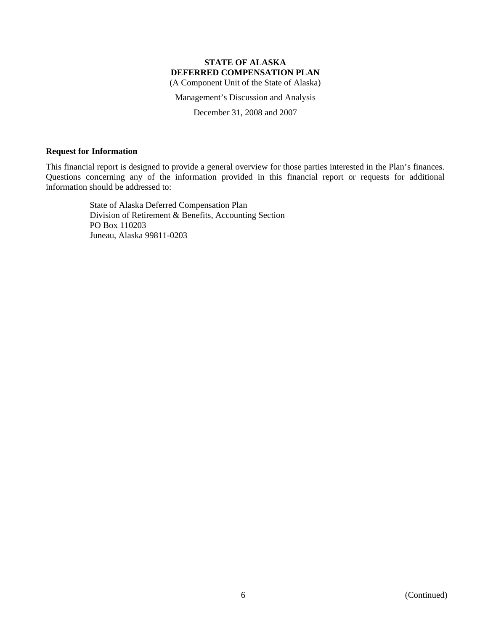(A Component Unit of the State of Alaska)

Management's Discussion and Analysis

December 31, 2008 and 2007

### **Request for Information**

This financial report is designed to provide a general overview for those parties interested in the Plan's finances. Questions concerning any of the information provided in this financial report or requests for additional information should be addressed to:

> State of Alaska Deferred Compensation Plan Division of Retirement & Benefits, Accounting Section PO Box 110203 Juneau, Alaska 99811-0203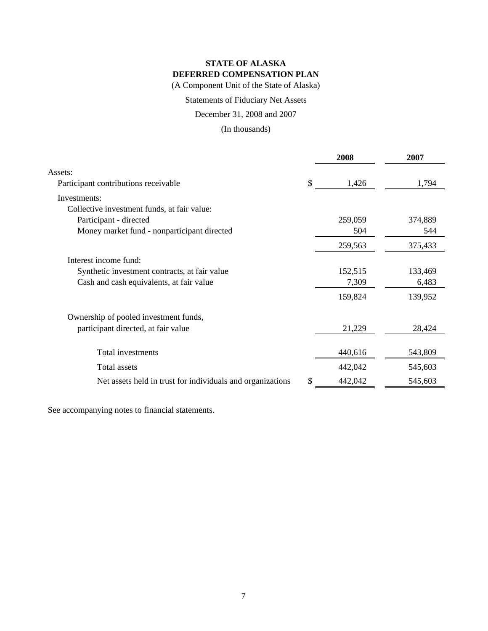(A Component Unit of the State of Alaska)

### Statements of Fiduciary Net Assets

December 31, 2008 and 2007

(In thousands)

|                                                            | 2008          | 2007    |
|------------------------------------------------------------|---------------|---------|
| Assets:                                                    |               |         |
| Participant contributions receivable                       | \$<br>1,426   | 1,794   |
| Investments:                                               |               |         |
| Collective investment funds, at fair value:                |               |         |
| Participant - directed                                     | 259,059       | 374,889 |
| Money market fund - nonparticipant directed                | 504           | 544     |
|                                                            | 259,563       | 375,433 |
| Interest income fund:                                      |               |         |
| Synthetic investment contracts, at fair value              | 152,515       | 133,469 |
| Cash and cash equivalents, at fair value                   | 7,309         | 6,483   |
|                                                            | 159,824       | 139,952 |
| Ownership of pooled investment funds,                      |               |         |
| participant directed, at fair value                        | 21,229        | 28,424  |
| Total investments                                          | 440,616       | 543,809 |
|                                                            |               |         |
| Total assets                                               | 442,042       | 545,603 |
| Net assets held in trust for individuals and organizations | \$<br>442,042 | 545,603 |

See accompanying notes to financial statements.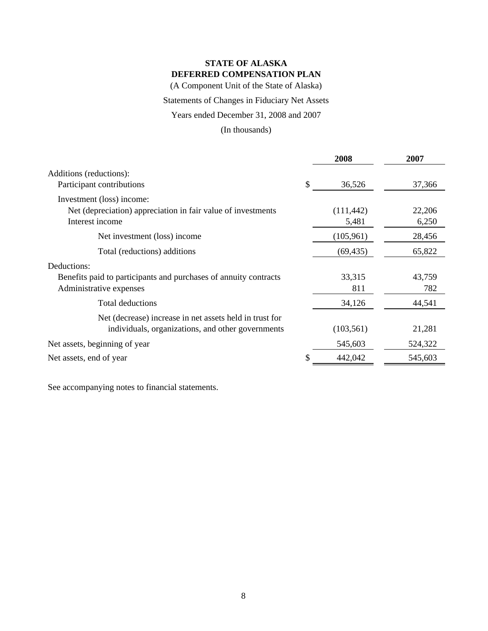(A Component Unit of the State of Alaska)

### Statements of Changes in Fiduciary Net Assets

### Years ended December 31, 2008 and 2007

### (In thousands)

|                                                                                                              | 2008                | 2007            |
|--------------------------------------------------------------------------------------------------------------|---------------------|-----------------|
| Additions (reductions):<br>Participant contributions                                                         | \$<br>36,526        | 37,366          |
| Investment (loss) income:<br>Net (depreciation) appreciation in fair value of investments<br>Interest income | (111, 442)<br>5,481 | 22,206<br>6,250 |
| Net investment (loss) income                                                                                 | (105, 961)          | 28,456          |
| Total (reductions) additions                                                                                 | (69, 435)           | 65,822          |
| Deductions:<br>Benefits paid to participants and purchases of annuity contracts<br>Administrative expenses   | 33,315<br>811       | 43,759<br>782   |
| <b>Total deductions</b>                                                                                      | 34,126              | 44,541          |
| Net (decrease) increase in net assets held in trust for<br>individuals, organizations, and other governments | (103, 561)          | 21,281          |
| Net assets, beginning of year                                                                                | 545,603             | 524,322         |
| Net assets, end of year                                                                                      | 442,042             | 545,603         |

See accompanying notes to financial statements.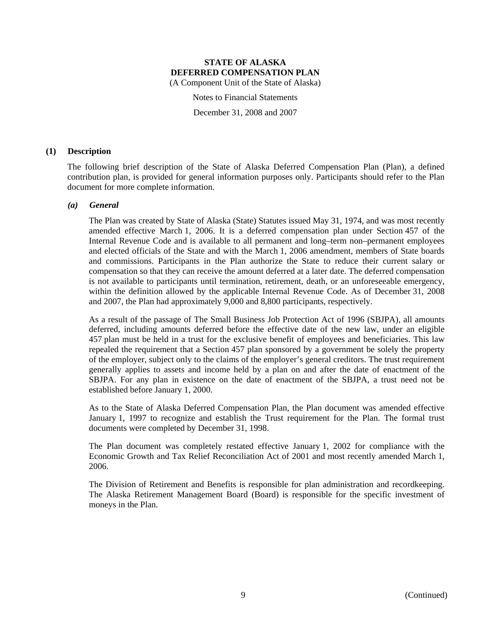Notes to Financial Statements

December 31, 2008 and 2007

### **(1) Description**

The following brief description of the State of Alaska Deferred Compensation Plan (Plan), a defined contribution plan, is provided for general information purposes only. Participants should refer to the Plan document for more complete information.

### *(a) General*

The Plan was created by State of Alaska (State) Statutes issued May 31, 1974, and was most recently amended effective March 1, 2006. It is a deferred compensation plan under Section 457 of the Internal Revenue Code and is available to all permanent and long–term non–permanent employees and elected officials of the State and with the March 1, 2006 amendment, members of State boards and commissions. Participants in the Plan authorize the State to reduce their current salary or compensation so that they can receive the amount deferred at a later date. The deferred compensation is not available to participants until termination, retirement, death, or an unforeseeable emergency, within the definition allowed by the applicable Internal Revenue Code. As of December 31, 2008 and 2007, the Plan had approximately 9,000 and 8,800 participants, respectively.

As a result of the passage of The Small Business Job Protection Act of 1996 (SBJPA), all amounts deferred, including amounts deferred before the effective date of the new law, under an eligible 457 plan must be held in a trust for the exclusive benefit of employees and beneficiaries. This law repealed the requirement that a Section 457 plan sponsored by a government be solely the property of the employer, subject only to the claims of the employer's general creditors. The trust requirement generally applies to assets and income held by a plan on and after the date of enactment of the SBJPA. For any plan in existence on the date of enactment of the SBJPA, a trust need not be established before January 1, 2000.

As to the State of Alaska Deferred Compensation Plan, the Plan document was amended effective January 1, 1997 to recognize and establish the Trust requirement for the Plan. The formal trust documents were completed by December 31, 1998.

The Plan document was completely restated effective January 1, 2002 for compliance with the Economic Growth and Tax Relief Reconciliation Act of 2001 and most recently amended March 1, 2006.

The Division of Retirement and Benefits is responsible for plan administration and recordkeeping. The Alaska Retirement Management Board (Board) is responsible for the specific investment of moneys in the Plan.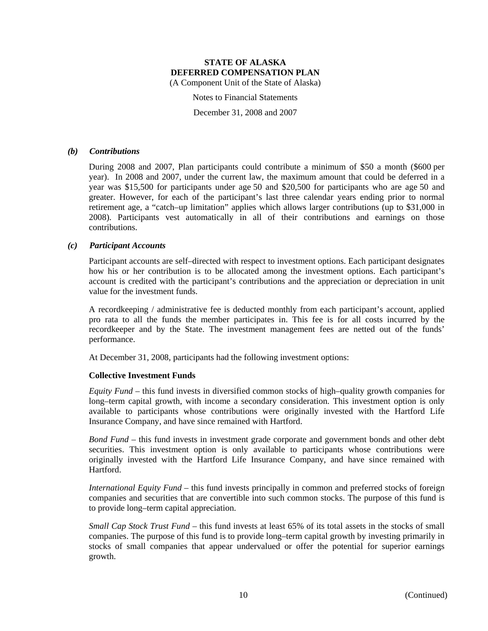Notes to Financial Statements

December 31, 2008 and 2007

### *(b) Contributions*

During 2008 and 2007, Plan participants could contribute a minimum of \$50 a month (\$600 per year). In 2008 and 2007, under the current law, the maximum amount that could be deferred in a year was \$15,500 for participants under age 50 and \$20,500 for participants who are age 50 and greater. However, for each of the participant's last three calendar years ending prior to normal retirement age, a "catch–up limitation" applies which allows larger contributions (up to \$31,000 in 2008). Participants vest automatically in all of their contributions and earnings on those contributions.

### *(c) Participant Accounts*

Participant accounts are self–directed with respect to investment options. Each participant designates how his or her contribution is to be allocated among the investment options. Each participant's account is credited with the participant's contributions and the appreciation or depreciation in unit value for the investment funds.

A recordkeeping / administrative fee is deducted monthly from each participant's account, applied pro rata to all the funds the member participates in. This fee is for all costs incurred by the recordkeeper and by the State. The investment management fees are netted out of the funds' performance.

At December 31, 2008, participants had the following investment options:

### **Collective Investment Funds**

*Equity Fund* – this fund invests in diversified common stocks of high–quality growth companies for long–term capital growth, with income a secondary consideration. This investment option is only available to participants whose contributions were originally invested with the Hartford Life Insurance Company, and have since remained with Hartford.

*Bond Fund* – this fund invests in investment grade corporate and government bonds and other debt securities. This investment option is only available to participants whose contributions were originally invested with the Hartford Life Insurance Company, and have since remained with Hartford.

*International Equity Fund* – this fund invests principally in common and preferred stocks of foreign companies and securities that are convertible into such common stocks. The purpose of this fund is to provide long–term capital appreciation.

*Small Cap Stock Trust Fund* – this fund invests at least 65% of its total assets in the stocks of small companies. The purpose of this fund is to provide long–term capital growth by investing primarily in stocks of small companies that appear undervalued or offer the potential for superior earnings growth.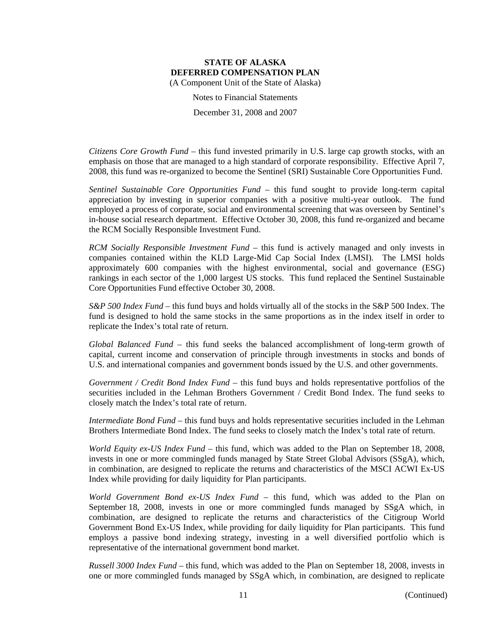Notes to Financial Statements

December 31, 2008 and 2007

*Citizens Core Growth Fund* – this fund invested primarily in U.S. large cap growth stocks, with an emphasis on those that are managed to a high standard of corporate responsibility. Effective April 7, 2008, this fund was re-organized to become the Sentinel (SRI) Sustainable Core Opportunities Fund.

*Sentinel Sustainable Core Opportunities Fund* – this fund sought to provide long-term capital appreciation by investing in superior companies with a positive multi-year outlook. The fund employed a process of corporate, social and environmental screening that was overseen by Sentinel's in-house social research department. Effective October 30, 2008, this fund re-organized and became the RCM Socially Responsible Investment Fund.

*RCM Socially Responsible Investment Fund* – this fund is actively managed and only invests in companies contained within the KLD Large-Mid Cap Social Index (LMSI). The LMSI holds approximately 600 companies with the highest environmental, social and governance (ESG) rankings in each sector of the 1,000 largest US stocks. This fund replaced the Sentinel Sustainable Core Opportunities Fund effective October 30, 2008.

*S&P 500 Index Fund* – this fund buys and holds virtually all of the stocks in the S&P 500 Index. The fund is designed to hold the same stocks in the same proportions as in the index itself in order to replicate the Index's total rate of return.

*Global Balanced Fund* – this fund seeks the balanced accomplishment of long-term growth of capital, current income and conservation of principle through investments in stocks and bonds of U.S. and international companies and government bonds issued by the U.S. and other governments.

*Government / Credit Bond Index Fund* – this fund buys and holds representative portfolios of the securities included in the Lehman Brothers Government / Credit Bond Index. The fund seeks to closely match the Index's total rate of return.

*Intermediate Bond Fund* – this fund buys and holds representative securities included in the Lehman Brothers Intermediate Bond Index. The fund seeks to closely match the Index's total rate of return.

*World Equity ex-US Index Fund* – this fund, which was added to the Plan on September 18, 2008, invests in one or more commingled funds managed by State Street Global Advisors (SSgA), which, in combination, are designed to replicate the returns and characteristics of the MSCI ACWI Ex-US Index while providing for daily liquidity for Plan participants.

*World Government Bond ex-US Index Fund* – this fund, which was added to the Plan on September 18, 2008, invests in one or more commingled funds managed by SSgA which, in combination, are designed to replicate the returns and characteristics of the Citigroup World Government Bond Ex-US Index, while providing for daily liquidity for Plan participants. This fund employs a passive bond indexing strategy, investing in a well diversified portfolio which is representative of the international government bond market.

*Russell 3000 Index Fund* – this fund, which was added to the Plan on September 18, 2008, invests in one or more commingled funds managed by SSgA which, in combination, are designed to replicate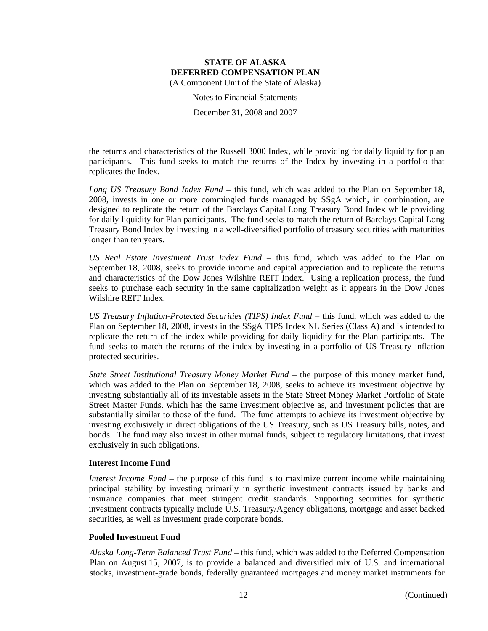Notes to Financial Statements

December 31, 2008 and 2007

the returns and characteristics of the Russell 3000 Index, while providing for daily liquidity for plan participants. This fund seeks to match the returns of the Index by investing in a portfolio that replicates the Index.

*Long US Treasury Bond Index Fund* – this fund, which was added to the Plan on September 18, 2008, invests in one or more commingled funds managed by SSgA which, in combination, are designed to replicate the return of the Barclays Capital Long Treasury Bond Index while providing for daily liquidity for Plan participants. The fund seeks to match the return of Barclays Capital Long Treasury Bond Index by investing in a well-diversified portfolio of treasury securities with maturities longer than ten years.

*US Real Estate Investment Trust Index Fund* – this fund, which was added to the Plan on September 18, 2008, seeks to provide income and capital appreciation and to replicate the returns and characteristics of the Dow Jones Wilshire REIT Index. Using a replication process, the fund seeks to purchase each security in the same capitalization weight as it appears in the Dow Jones Wilshire REIT Index.

*US Treasury Inflation-Protected Securities (TIPS) Index Fund* – this fund, which was added to the Plan on September 18, 2008, invests in the SSgA TIPS Index NL Series (Class A) and is intended to replicate the return of the index while providing for daily liquidity for the Plan participants. The fund seeks to match the returns of the index by investing in a portfolio of US Treasury inflation protected securities.

*State Street Institutional Treasury Money Market Fund* – the purpose of this money market fund, which was added to the Plan on September 18, 2008, seeks to achieve its investment objective by investing substantially all of its investable assets in the State Street Money Market Portfolio of State Street Master Funds, which has the same investment objective as, and investment policies that are substantially similar to those of the fund. The fund attempts to achieve its investment objective by investing exclusively in direct obligations of the US Treasury, such as US Treasury bills, notes, and bonds. The fund may also invest in other mutual funds, subject to regulatory limitations, that invest exclusively in such obligations.

### **Interest Income Fund**

*Interest Income Fund* – the purpose of this fund is to maximize current income while maintaining principal stability by investing primarily in synthetic investment contracts issued by banks and insurance companies that meet stringent credit standards. Supporting securities for synthetic investment contracts typically include U.S. Treasury/Agency obligations, mortgage and asset backed securities, as well as investment grade corporate bonds.

### **Pooled Investment Fund**

*Alaska Long-Term Balanced Trust Fund* – this fund, which was added to the Deferred Compensation Plan on August 15, 2007, is to provide a balanced and diversified mix of U.S. and international stocks, investment-grade bonds, federally guaranteed mortgages and money market instruments for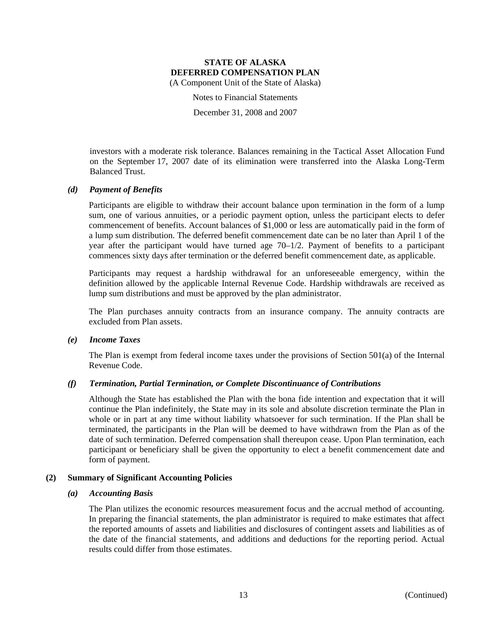Notes to Financial Statements

December 31, 2008 and 2007

investors with a moderate risk tolerance. Balances remaining in the Tactical Asset Allocation Fund on the September 17, 2007 date of its elimination were transferred into the Alaska Long-Term Balanced Trust.

### *(d) Payment of Benefits*

Participants are eligible to withdraw their account balance upon termination in the form of a lump sum, one of various annuities, or a periodic payment option, unless the participant elects to defer commencement of benefits. Account balances of \$1,000 or less are automatically paid in the form of a lump sum distribution. The deferred benefit commencement date can be no later than April 1 of the year after the participant would have turned age 70–1/2. Payment of benefits to a participant commences sixty days after termination or the deferred benefit commencement date, as applicable.

Participants may request a hardship withdrawal for an unforeseeable emergency, within the definition allowed by the applicable Internal Revenue Code. Hardship withdrawals are received as lump sum distributions and must be approved by the plan administrator.

The Plan purchases annuity contracts from an insurance company. The annuity contracts are excluded from Plan assets.

#### *(e) Income Taxes*

The Plan is exempt from federal income taxes under the provisions of Section 501(a) of the Internal Revenue Code.

#### *(f) Termination, Partial Termination, or Complete Discontinuance of Contributions*

Although the State has established the Plan with the bona fide intention and expectation that it will continue the Plan indefinitely, the State may in its sole and absolute discretion terminate the Plan in whole or in part at any time without liability whatsoever for such termination. If the Plan shall be terminated, the participants in the Plan will be deemed to have withdrawn from the Plan as of the date of such termination. Deferred compensation shall thereupon cease. Upon Plan termination, each participant or beneficiary shall be given the opportunity to elect a benefit commencement date and form of payment.

#### **(2) Summary of Significant Accounting Policies**

#### *(a) Accounting Basis*

The Plan utilizes the economic resources measurement focus and the accrual method of accounting. In preparing the financial statements, the plan administrator is required to make estimates that affect the reported amounts of assets and liabilities and disclosures of contingent assets and liabilities as of the date of the financial statements, and additions and deductions for the reporting period. Actual results could differ from those estimates.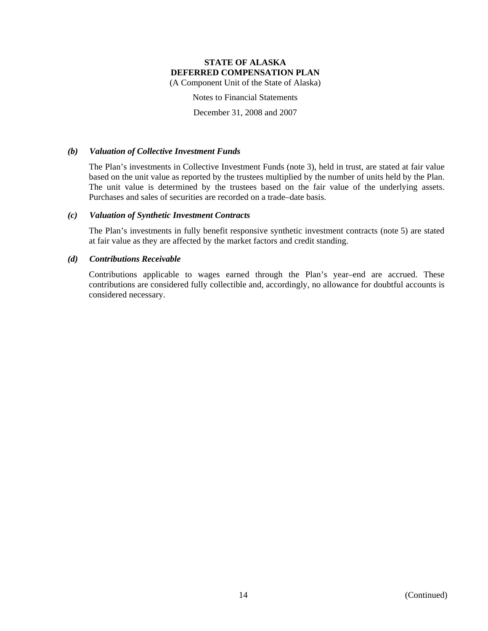(A Component Unit of the State of Alaska)

Notes to Financial Statements

December 31, 2008 and 2007

### *(b) Valuation of Collective Investment Funds*

The Plan's investments in Collective Investment Funds (note 3), held in trust, are stated at fair value based on the unit value as reported by the trustees multiplied by the number of units held by the Plan. The unit value is determined by the trustees based on the fair value of the underlying assets. Purchases and sales of securities are recorded on a trade–date basis.

### *(c) Valuation of Synthetic Investment Contracts*

The Plan's investments in fully benefit responsive synthetic investment contracts (note 5) are stated at fair value as they are affected by the market factors and credit standing.

### *(d) Contributions Receivable*

Contributions applicable to wages earned through the Plan's year–end are accrued. These contributions are considered fully collectible and, accordingly, no allowance for doubtful accounts is considered necessary.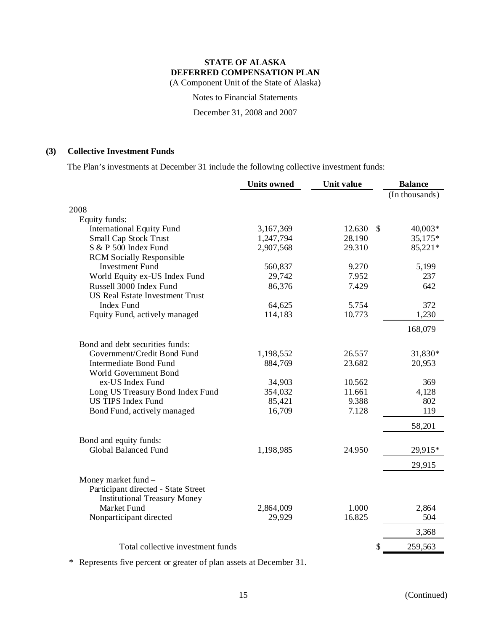(A Component Unit of the State of Alaska)

Notes to Financial Statements

December 31, 2008 and 2007

### **(3) Collective Investment Funds**

The Plan's investments at December 31 include the following collective investment funds:

|                                        | <b>Units owned</b> | Unit value |      | <b>Balance</b> |
|----------------------------------------|--------------------|------------|------|----------------|
|                                        |                    |            |      | (In thousands) |
| 2008                                   |                    |            |      |                |
| Equity funds:                          |                    |            |      |                |
| <b>International Equity Fund</b>       | 3,167,369          | 12.630     | - \$ | 40,003*        |
| Small Cap Stock Trust                  | 1,247,794          | 28.190     |      | 35,175*        |
| S & P 500 Index Fund                   | 2,907,568          | 29.310     |      | 85,221*        |
| <b>RCM Socially Responsible</b>        |                    |            |      |                |
| <b>Investment Fund</b>                 | 560,837            | 9.270      |      | 5,199          |
| World Equity ex-US Index Fund          | 29,742             | 7.952      |      | 237            |
| Russell 3000 Index Fund                | 86,376             | 7.429      |      | 642            |
| <b>US Real Estate Investment Trust</b> |                    |            |      |                |
| Index Fund                             | 64,625             | 5.754      |      | 372            |
| Equity Fund, actively managed          | 114,183            | 10.773     |      | 1,230          |
|                                        |                    |            |      | 168,079        |
| Bond and debt securities funds:        |                    |            |      |                |
| Government/Credit Bond Fund            | 1,198,552          | 26.557     |      | 31,830*        |
| Intermediate Bond Fund                 | 884,769            | 23.682     |      | 20,953         |
| World Government Bond                  |                    |            |      |                |
| ex-US Index Fund                       | 34,903             | 10.562     |      | 369            |
| Long US Treasury Bond Index Fund       | 354,032            | 11.661     |      | 4,128          |
| <b>US TIPS Index Fund</b>              | 85,421             | 9.388      |      | 802            |
| Bond Fund, actively managed            | 16,709             | 7.128      |      | 119            |
|                                        |                    |            |      | 58,201         |
| Bond and equity funds:                 |                    |            |      |                |
| Global Balanced Fund                   | 1,198,985          | 24.950     |      | 29,915*        |
|                                        |                    |            |      | 29,915         |
| Money market fund -                    |                    |            |      |                |
| Participant directed - State Street    |                    |            |      |                |
| <b>Institutional Treasury Money</b>    |                    |            |      |                |
| Market Fund                            | 2,864,009          | 1.000      |      | 2,864          |
| Nonparticipant directed                | 29,929             | 16.825     |      | 504            |
|                                        |                    |            |      | 3,368          |
| Total collective investment funds      |                    |            | \$   | 259,563        |

\* Represents five percent or greater of plan assets at December 31.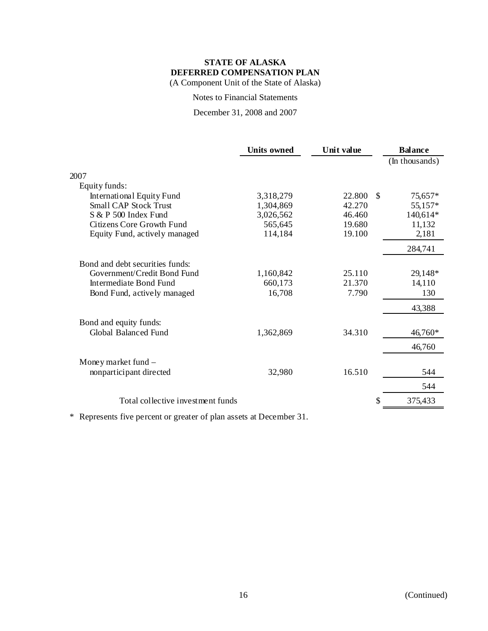Notes to Financial Statements

December 31, 2008 and 2007

|                                   | <b>Units owned</b> | Unit value |    | <b>Balance</b> |
|-----------------------------------|--------------------|------------|----|----------------|
|                                   |                    |            |    | (In thousands) |
| 2007                              |                    |            |    |                |
| Equity funds:                     |                    |            |    |                |
| International Equity Fund         | 3,318,279          | 22.800     | -S | 75,657*        |
| <b>Small CAP Stock Trust</b>      | 1,304,869          | 42.270     |    | 55,157*        |
| S & P 500 Index Fund              | 3,026,562          | 46.460     |    | 140,614*       |
| Citizens Core Growth Fund         | 565,645            | 19.680     |    | 11,132         |
| Equity Fund, actively managed     | 114,184            | 19.100     |    | 2,181          |
|                                   |                    |            |    | 284,741        |
| Bond and debt securities funds:   |                    |            |    |                |
| Government/Credit Bond Fund       | 1,160,842          | 25.110     |    | 29,148*        |
| Intermediate Bond Fund            | 660,173            | 21.370     |    | 14,110         |
| Bond Fund, actively managed       | 16,708             | 7.790      |    | 130            |
|                                   |                    |            |    | 43,388         |
| Bond and equity funds:            |                    |            |    |                |
| Global Balanced Fund              | 1,362,869          | 34.310     |    | 46,760*        |
|                                   |                    |            |    | 46,760         |
| Money market fund $-$             |                    |            |    |                |
| nonparticipant directed           | 32,980             | 16.510     |    | 544            |
|                                   |                    |            |    | 544            |
| Total collective investment funds |                    |            | S  | 375,433        |
|                                   |                    |            |    |                |

\* Represents five percent or greater of plan assets at December 31.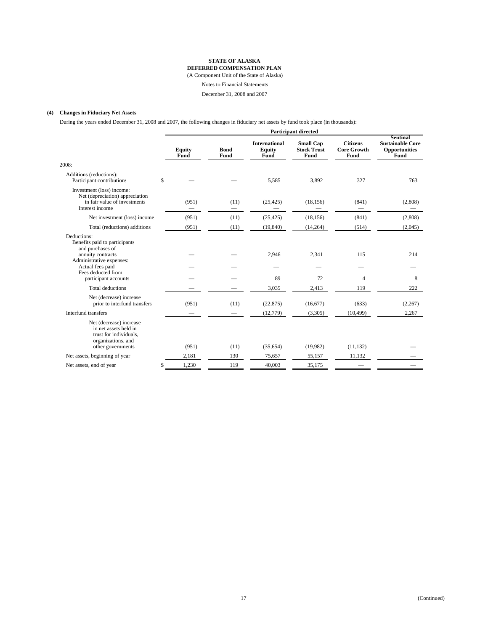### **STATE OF ALASKA**

**DEFERRED COMPENSATION PLAN** (A Component Unit of the State of Alaska)

Notes to Financial Statements

December 31, 2008 and 2007

#### **(4) Changes in Fiduciary Net Assets**

During the years ended December 31, 2008 and 2007, the following changes in fiduciary net assets by fund took place (in thousands):

|                                                                                                                       | <b>Participant directed</b> |                         |                                        |                                                |                                               |                                                                     |  |  |
|-----------------------------------------------------------------------------------------------------------------------|-----------------------------|-------------------------|----------------------------------------|------------------------------------------------|-----------------------------------------------|---------------------------------------------------------------------|--|--|
|                                                                                                                       | <b>Equity</b><br>Fund       | <b>Bond</b><br>Fund     | <b>International</b><br>Equity<br>Fund | <b>Small Cap</b><br><b>Stock Trust</b><br>Fund | <b>Citizens</b><br><b>Core Growth</b><br>Fund | <b>Sentinal</b><br><b>Sustainable Core</b><br>Opportunities<br>Fund |  |  |
| 2008:                                                                                                                 |                             |                         |                                        |                                                |                                               |                                                                     |  |  |
| Additions (reductions):<br>Participant contributions                                                                  | \$                          |                         | 5,585                                  | 3,892                                          | 327                                           | 763                                                                 |  |  |
| Investment (loss) income:<br>Net (depreciation) appreciation<br>in fair value of investments<br>Interest income       | (951)                       | (11)<br>$\qquad \qquad$ | (25, 425)<br>$\overline{\phantom{0}}$  | (18, 156)                                      | (841)<br>$\qquad \qquad -$                    | (2,808)<br>-                                                        |  |  |
| Net investment (loss) income                                                                                          | (951)                       | (11)                    | (25, 425)                              | (18, 156)                                      | (841)                                         | (2,808)                                                             |  |  |
| Total (reductions) additions                                                                                          | (951)                       | (11)                    | (19, 840)                              | (14, 264)                                      | (514)                                         | (2,045)                                                             |  |  |
| Deductions:<br>Benefits paid to participants<br>and purchases of<br>annuity contracts                                 |                             |                         | 2,946                                  | 2,341                                          | 115                                           | 214                                                                 |  |  |
| Administrative expenses:<br>Actual fees paid<br>Fees deducted from                                                    |                             |                         |                                        |                                                |                                               |                                                                     |  |  |
| participant accounts                                                                                                  |                             |                         | 89                                     | 72                                             | 4                                             | 8                                                                   |  |  |
| <b>Total deductions</b>                                                                                               |                             |                         | 3,035                                  | 2,413                                          | 119                                           | 222                                                                 |  |  |
| Net (decrease) increase<br>prior to interfund transfers                                                               | (951)                       | (11)                    | (22, 875)                              | (16,677)                                       | (633)                                         | (2,267)                                                             |  |  |
| Interfund transfers                                                                                                   |                             |                         | (12,779)                               | (3,305)                                        | (10, 499)                                     | 2,267                                                               |  |  |
| Net (decrease) increase<br>in net assets held in<br>trust for individuals,<br>organizations, and<br>other governments | (951)                       | (11)                    | (35,654)                               | (19,982)                                       | (11, 132)                                     |                                                                     |  |  |
| Net assets, beginning of year                                                                                         | 2,181                       | 130                     | 75,657                                 | 55,157                                         | 11,132                                        |                                                                     |  |  |
| Net assets, end of year                                                                                               | \$<br>1,230                 | 119                     | 40,003                                 | 35,175                                         |                                               |                                                                     |  |  |
|                                                                                                                       |                             |                         |                                        |                                                |                                               |                                                                     |  |  |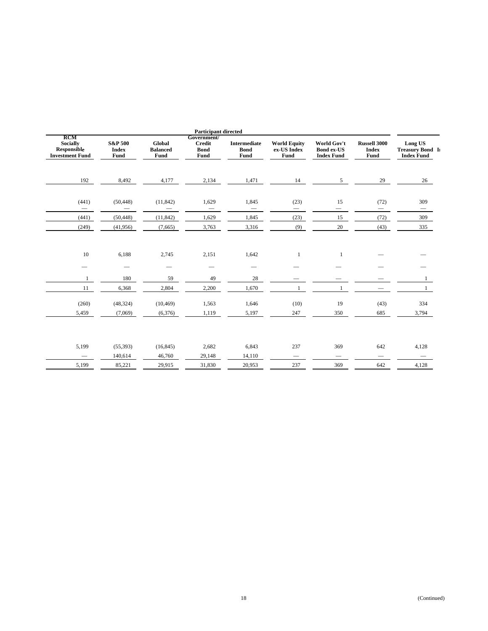| <b>Participant directed</b>                                            |                                            |                                          |                                                     |                                            |                                            |                                                       |                                             |                                                                |
|------------------------------------------------------------------------|--------------------------------------------|------------------------------------------|-----------------------------------------------------|--------------------------------------------|--------------------------------------------|-------------------------------------------------------|---------------------------------------------|----------------------------------------------------------------|
| <b>RCM</b><br><b>Socially</b><br>Responsible<br><b>Investment Fund</b> | <b>S&amp;P 500</b><br><b>Index</b><br>Fund | <b>Global</b><br><b>Balanced</b><br>Fund | Government/<br><b>Credit</b><br><b>Bond</b><br>Fund | <b>Intermediate</b><br><b>Bond</b><br>Fund | <b>World Equity</b><br>ex-US Index<br>Fund | World Gov't<br><b>Bond ex-US</b><br><b>Index Fund</b> | <b>Russell 3000</b><br><b>Index</b><br>Fund | <b>Long US</b><br><b>Treasury Bond II</b><br><b>Index Fund</b> |
| 192                                                                    | 8,492                                      | 4,177                                    | 2,134                                               | 1,471                                      | 14                                         | 5 <sup>5</sup>                                        | 29                                          | 26                                                             |
| (441)                                                                  | (50, 448)<br>$\overline{\phantom{0}}$      | (11, 842)                                | 1,629<br>$\overline{\phantom{0}}$                   | 1,845<br>$\overline{\phantom{0}}$          | (23)                                       | 15                                                    | (72)<br>$\overbrace{\phantom{13333}}$       | 309<br>$\overline{\phantom{0}}$                                |
| (441)                                                                  | (50, 448)                                  | (11, 842)                                | 1,629                                               | 1,845                                      | (23)                                       | 15                                                    | (72)                                        | 309                                                            |
| (249)                                                                  | (41,956)                                   | (7,665)                                  | 3,763                                               | 3,316                                      | (9)                                        | 20                                                    | (43)                                        | 335                                                            |
| 10                                                                     | 6,188                                      | 2,745                                    | 2,151                                               | 1,642                                      | 1                                          | $\mathbf{1}$                                          |                                             |                                                                |
|                                                                        | -                                          | $\overline{\phantom{0}}$                 | $\overline{\phantom{0}}$                            | $\overline{\phantom{0}}$                   |                                            |                                                       |                                             |                                                                |
| 1                                                                      | 180                                        | 59                                       | 49                                                  | 28                                         |                                            |                                                       |                                             |                                                                |
| 11                                                                     | 6,368                                      | 2,804                                    | 2,200                                               | 1,670                                      |                                            |                                                       |                                             |                                                                |
| (260)                                                                  | (48, 324)                                  | (10, 469)                                | 1,563                                               | 1,646                                      | (10)                                       | 19                                                    | (43)                                        | 334                                                            |
| 5,459                                                                  | (7,069)                                    | (6,376)                                  | 1,119                                               | 5,197                                      | 247                                        | 350                                                   | 685                                         | 3,794                                                          |
|                                                                        |                                            |                                          |                                                     |                                            |                                            |                                                       |                                             |                                                                |
| 5,199                                                                  | (55, 393)                                  | (16, 845)                                | 2,682                                               | 6,843                                      | 237                                        | 369                                                   | 642                                         | 4,128                                                          |
| $\overline{\phantom{0}}$                                               | 140,614                                    | 46,760                                   | 29,148                                              | 14,110                                     | $\qquad \qquad -$                          | $\qquad \qquad$                                       | $\qquad \qquad$                             |                                                                |
| 5,199                                                                  | 85,221                                     | 29,915                                   | 31,830                                              | 20,953                                     | 237                                        | 369                                                   | 642                                         | 4,128                                                          |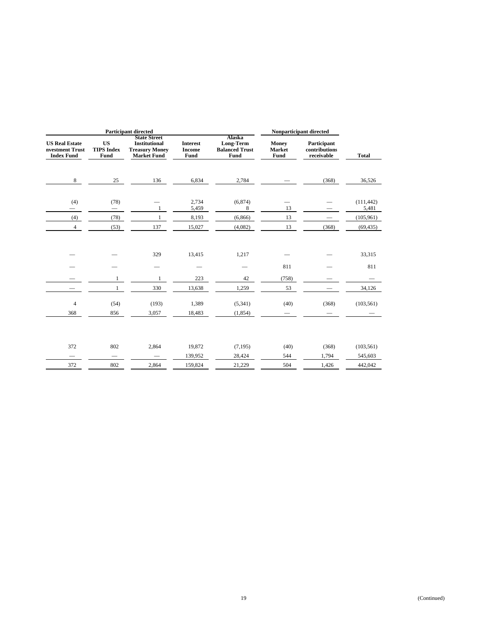| <b>Participant directed</b>                                   |                                        |                                                                                            |                                                 | Nonparticipant directed                              |                                |                                            |                     |
|---------------------------------------------------------------|----------------------------------------|--------------------------------------------------------------------------------------------|-------------------------------------------------|------------------------------------------------------|--------------------------------|--------------------------------------------|---------------------|
| <b>US Real Estate</b><br>nvestment Trust<br><b>Index Fund</b> | <b>US</b><br><b>TIPS Index</b><br>Fund | <b>State Street</b><br><b>Institutional</b><br><b>Treasury Money</b><br><b>Market Fund</b> | <b>Interest</b><br><b>Income</b><br><b>Fund</b> | Alaska<br>Long-Term<br><b>Balanced Trust</b><br>Fund | Money<br>Market<br><b>Fund</b> | Participant<br>contributions<br>receivable | <b>Total</b>        |
| 8                                                             | 25                                     | 136                                                                                        | 6,834                                           | 2,784                                                |                                | (368)                                      | 36,526              |
| (4)                                                           | (78)<br>$\overline{\phantom{0}}$       | 1                                                                                          | 2,734<br>5,459                                  | (6,874)<br>8                                         | 13                             |                                            | (111, 442)<br>5,481 |
| (4)                                                           | (78)                                   | 1                                                                                          | 8,193                                           | (6,866)                                              | 13                             |                                            | (105, 961)          |
| $\overline{4}$                                                | (53)                                   | 137                                                                                        | 15,027                                          | (4,082)                                              | 13                             | (368)                                      | (69, 435)           |
|                                                               |                                        | 329                                                                                        | 13,415                                          | 1,217                                                |                                |                                            | 33,315              |
|                                                               |                                        |                                                                                            |                                                 |                                                      | 811                            |                                            | 811                 |
|                                                               | $\mathbf{1}$                           | 1                                                                                          | 223                                             | 42                                                   | (758)                          |                                            |                     |
|                                                               | $\mathbf{1}$                           | 330                                                                                        | 13,638                                          | 1,259                                                | 53                             |                                            | 34,126              |
| $\overline{4}$                                                | (54)                                   | (193)                                                                                      | 1,389                                           | (5,341)                                              | (40)                           | (368)                                      | (103, 561)          |
| 368                                                           | 856                                    | 3,057                                                                                      | 18,483                                          | (1,854)                                              |                                |                                            |                     |
|                                                               |                                        |                                                                                            |                                                 |                                                      |                                |                                            |                     |
| 372                                                           | 802                                    | 2,864                                                                                      | 19,872                                          | (7, 195)                                             | (40)                           | (368)                                      | (103, 561)          |
|                                                               |                                        |                                                                                            | 139,952                                         | 28,424                                               | 544                            | 1,794                                      | 545,603             |
| 372                                                           | 802                                    | 2,864                                                                                      | 159,824                                         | 21,229                                               | 504                            | 1,426                                      | 442,042             |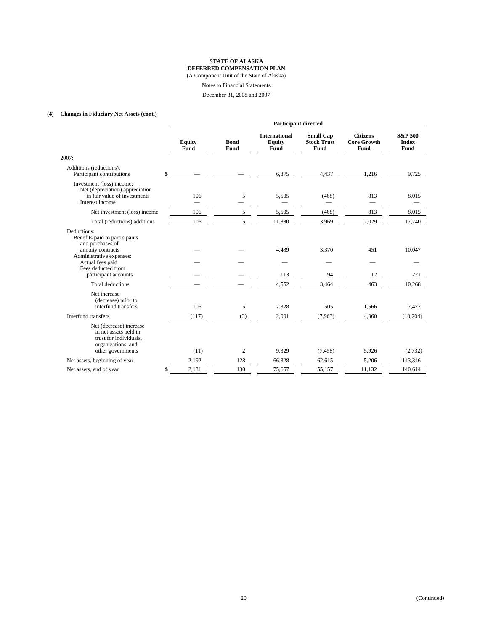(A Component Unit of the State of Alaska)

Notes to Financial Statements

December 31, 2008 and 2007

### **(4) Changes in Fiduciary Net Assets (cont.)**

|                                                                                                                                                                                     | <b>Participant directed</b> |                     |                                        |                                                |                                               |                                            |
|-------------------------------------------------------------------------------------------------------------------------------------------------------------------------------------|-----------------------------|---------------------|----------------------------------------|------------------------------------------------|-----------------------------------------------|--------------------------------------------|
|                                                                                                                                                                                     | <b>Equity</b><br>Fund       | <b>Bond</b><br>Fund | <b>International</b><br>Equity<br>Fund | <b>Small Cap</b><br><b>Stock Trust</b><br>Fund | <b>Citizens</b><br><b>Core Growth</b><br>Fund | <b>S&amp;P 500</b><br><b>Index</b><br>Fund |
| 2007:                                                                                                                                                                               |                             |                     |                                        |                                                |                                               |                                            |
| Additions (reductions):<br>Participant contributions                                                                                                                                | \$                          |                     | 6,375                                  | 4,437                                          | 1,216                                         | 9,725                                      |
| Investment (loss) income:<br>Net (depreciation) appreciation<br>in fair value of investments<br>Interest income                                                                     | 106                         | 5                   | 5,505                                  | (468)                                          | 813                                           | 8,015                                      |
| Net investment (loss) income                                                                                                                                                        | 106                         | 5                   | 5,505                                  | (468)                                          | 813                                           | 8,015                                      |
| Total (reductions) additions                                                                                                                                                        | 106                         | 5                   | 11,880                                 | 3,969                                          | 2,029                                         | 17,740                                     |
| Deductions:<br>Benefits paid to participants<br>and purchases of<br>annuity contracts<br>Administrative expenses:<br>Actual fees paid<br>Fees deducted from<br>participant accounts |                             |                     | 4,439<br>113                           | 3,370<br>94                                    | 451<br>12                                     | 10,047<br>221                              |
| <b>Total deductions</b>                                                                                                                                                             |                             |                     | 4,552                                  | 3,464                                          | 463                                           | 10,268                                     |
| Net increase<br>(decrease) prior to<br>interfund transfers<br>Interfund transfers                                                                                                   | 106<br>(117)                | 5                   | 7,328<br>2,001                         | 505                                            | 1,566                                         | 7,472                                      |
|                                                                                                                                                                                     |                             | (3)                 |                                        | (7,963)                                        | 4,360                                         | (10,204)                                   |
| Net (decrease) increase<br>in net assets held in<br>trust for individuals,<br>organizations, and<br>other governments                                                               | (11)                        | 2                   | 9,329                                  | (7, 458)                                       | 5,926                                         | (2,732)                                    |
| Net assets, beginning of year                                                                                                                                                       | 2,192                       | 128                 | 66,328                                 | 62,615                                         | 5,206                                         | 143,346                                    |
| Net assets, end of year                                                                                                                                                             | \$<br>2,181                 | 130                 | 75,657                                 | 55,157                                         | 11,132                                        | 140,614                                    |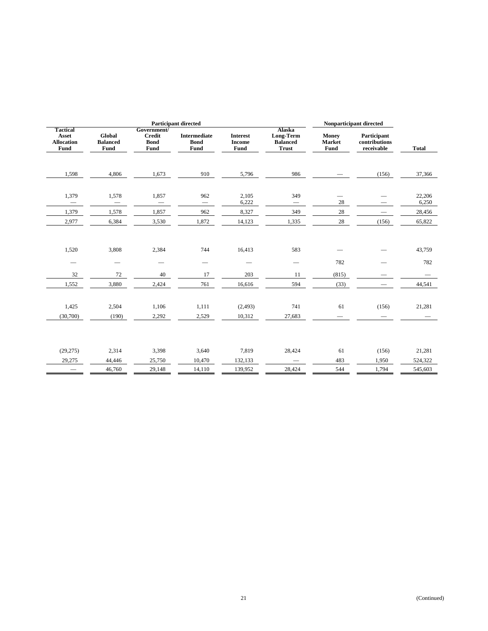| <b>Participant directed</b>                           |                                   |                                                     |                                            |                                          | Nonparticipant directed                                |                                       |                                            |                 |
|-------------------------------------------------------|-----------------------------------|-----------------------------------------------------|--------------------------------------------|------------------------------------------|--------------------------------------------------------|---------------------------------------|--------------------------------------------|-----------------|
| <b>Tactical</b><br>Asset<br><b>Allocation</b><br>Fund | Global<br><b>Balanced</b><br>Fund | Government/<br><b>Credit</b><br><b>Bond</b><br>Fund | <b>Intermediate</b><br><b>Bond</b><br>Fund | <b>Interest</b><br><b>Income</b><br>Fund | Alaska<br>Long-Term<br><b>Balanced</b><br><b>Trust</b> | <b>Money</b><br><b>Market</b><br>Fund | Participant<br>contributions<br>receivable | <b>Total</b>    |
| 1,598                                                 | 4,806                             | 1,673                                               | 910                                        | 5,796                                    | 986                                                    |                                       | (156)                                      | 37,366          |
| 1,379<br>$\overline{\phantom{m}}$                     | 1,578<br>$\overline{\phantom{m}}$ | 1,857                                               | 962<br>$\overline{\phantom{m}}$            | 2,105<br>6,222                           | 349<br>$\overline{\phantom{0}}$                        | 28                                    |                                            | 22,206<br>6,250 |
| 1,379                                                 | 1,578                             | 1,857                                               | 962                                        | 8,327                                    | 349                                                    | 28                                    |                                            | 28,456          |
| 2,977                                                 | 6,384                             | 3,530                                               | 1,872                                      | 14,123                                   | 1,335                                                  | 28                                    | (156)                                      | 65,822          |
| 1,520<br>$\hspace{0.1mm}-\hspace{0.1mm}$<br>32        | 3,808<br>72                       | 2,384<br>$\overline{\phantom{0}}$<br>40             | 744<br>17                                  | 16,413<br>203                            | 583<br>$\overline{\phantom{0}}$<br>11                  | 782<br>(815)                          |                                            | 43,759<br>782   |
| 1,552                                                 | 3,880                             | 2,424                                               | 761                                        | 16,616                                   | 594                                                    | (33)                                  |                                            | 44,541          |
| 1,425<br>(30,700)                                     | 2,504<br>(190)                    | 1,106<br>2,292                                      | 1,111<br>2,529                             | (2, 493)<br>10,312                       | 741<br>27,683                                          | 61                                    | (156)                                      | 21,281          |
| (29, 275)                                             | 2,314                             | 3,398                                               | 3,640                                      | 7,819                                    | 28,424                                                 | 61                                    | (156)                                      | 21,281          |
| 29,275                                                | 44,446                            | 25,750                                              | 10,470                                     | 132,133                                  | $\overline{\phantom{m}}$                               | 483                                   | 1,950                                      | 524,322         |
|                                                       | 46,760                            | 29,148                                              | 14,110                                     | 139,952                                  | 28,424                                                 | 544                                   | 1,794                                      | 545,603         |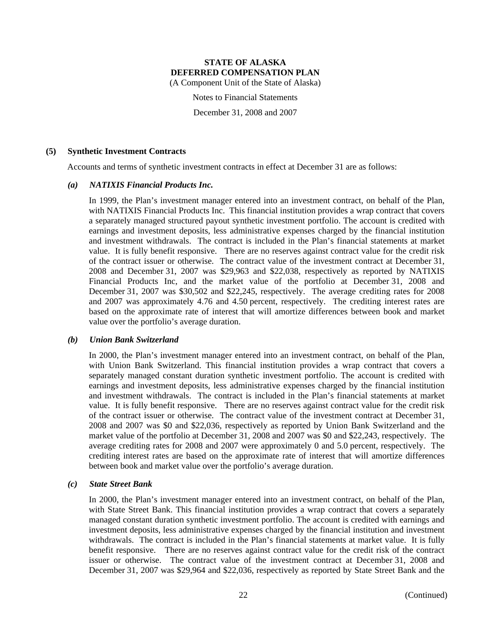(A Component Unit of the State of Alaska)

Notes to Financial Statements

December 31, 2008 and 2007

### **(5) Synthetic Investment Contracts**

Accounts and terms of synthetic investment contracts in effect at December 31 are as follows:

### *(a) NATIXIS Financial Products Inc.*

In 1999, the Plan's investment manager entered into an investment contract, on behalf of the Plan, with NATIXIS Financial Products Inc. This financial institution provides a wrap contract that covers a separately managed structured payout synthetic investment portfolio. The account is credited with earnings and investment deposits, less administrative expenses charged by the financial institution and investment withdrawals. The contract is included in the Plan's financial statements at market value. It is fully benefit responsive. There are no reserves against contract value for the credit risk of the contract issuer or otherwise. The contract value of the investment contract at December 31, 2008 and December 31, 2007 was \$29,963 and \$22,038, respectively as reported by NATIXIS Financial Products Inc, and the market value of the portfolio at December 31, 2008 and December 31, 2007 was \$30,502 and \$22,245, respectively. The average crediting rates for 2008 and 2007 was approximately 4.76 and 4.50 percent, respectively. The crediting interest rates are based on the approximate rate of interest that will amortize differences between book and market value over the portfolio's average duration.

### *(b) Union Bank Switzerland*

In 2000, the Plan's investment manager entered into an investment contract, on behalf of the Plan, with Union Bank Switzerland. This financial institution provides a wrap contract that covers a separately managed constant duration synthetic investment portfolio. The account is credited with earnings and investment deposits, less administrative expenses charged by the financial institution and investment withdrawals. The contract is included in the Plan's financial statements at market value. It is fully benefit responsive. There are no reserves against contract value for the credit risk of the contract issuer or otherwise. The contract value of the investment contract at December 31, 2008 and 2007 was \$0 and \$22,036, respectively as reported by Union Bank Switzerland and the market value of the portfolio at December 31, 2008 and 2007 was \$0 and \$22,243, respectively. The average crediting rates for 2008 and 2007 were approximately 0 and 5.0 percent, respectively. The crediting interest rates are based on the approximate rate of interest that will amortize differences between book and market value over the portfolio's average duration.

#### *(c) State Street Bank*

In 2000, the Plan's investment manager entered into an investment contract, on behalf of the Plan, with State Street Bank. This financial institution provides a wrap contract that covers a separately managed constant duration synthetic investment portfolio. The account is credited with earnings and investment deposits, less administrative expenses charged by the financial institution and investment withdrawals. The contract is included in the Plan's financial statements at market value. It is fully benefit responsive. There are no reserves against contract value for the credit risk of the contract issuer or otherwise. The contract value of the investment contract at December 31, 2008 and December 31, 2007 was \$29,964 and \$22,036, respectively as reported by State Street Bank and the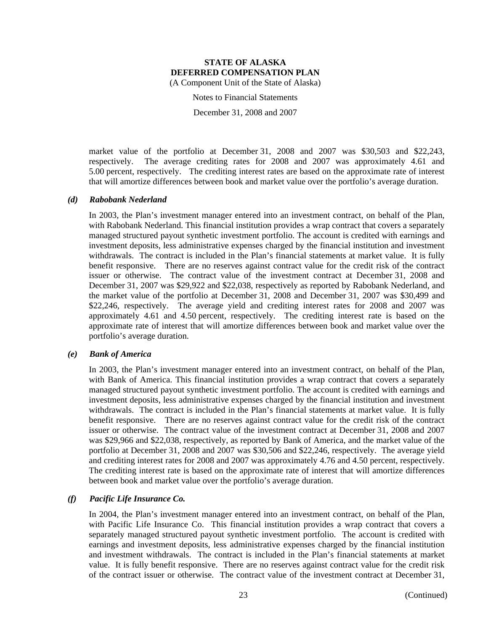Notes to Financial Statements

December 31, 2008 and 2007

market value of the portfolio at December 31, 2008 and 2007 was \$30,503 and \$22,243, respectively. The average crediting rates for 2008 and 2007 was approximately 4.61 and 5.00 percent, respectively. The crediting interest rates are based on the approximate rate of interest that will amortize differences between book and market value over the portfolio's average duration.

### *(d) Rabobank Nederland*

In 2003, the Plan's investment manager entered into an investment contract, on behalf of the Plan, with Rabobank Nederland. This financial institution provides a wrap contract that covers a separately managed structured payout synthetic investment portfolio. The account is credited with earnings and investment deposits, less administrative expenses charged by the financial institution and investment withdrawals. The contract is included in the Plan's financial statements at market value. It is fully benefit responsive. There are no reserves against contract value for the credit risk of the contract issuer or otherwise. The contract value of the investment contract at December 31, 2008 and December 31, 2007 was \$29,922 and \$22,038, respectively as reported by Rabobank Nederland, and the market value of the portfolio at December 31, 2008 and December 31, 2007 was \$30,499 and \$22,246, respectively. The average yield and crediting interest rates for 2008 and 2007 was approximately 4.61 and 4.50 percent, respectively. The crediting interest rate is based on the approximate rate of interest that will amortize differences between book and market value over the portfolio's average duration.

### *(e) Bank of America*

In 2003, the Plan's investment manager entered into an investment contract, on behalf of the Plan, with Bank of America. This financial institution provides a wrap contract that covers a separately managed structured payout synthetic investment portfolio. The account is credited with earnings and investment deposits, less administrative expenses charged by the financial institution and investment withdrawals. The contract is included in the Plan's financial statements at market value. It is fully benefit responsive. There are no reserves against contract value for the credit risk of the contract issuer or otherwise. The contract value of the investment contract at December 31, 2008 and 2007 was \$29,966 and \$22,038, respectively, as reported by Bank of America, and the market value of the portfolio at December 31, 2008 and 2007 was \$30,506 and \$22,246, respectively. The average yield and crediting interest rates for 2008 and 2007 was approximately 4.76 and 4.50 percent, respectively. The crediting interest rate is based on the approximate rate of interest that will amortize differences between book and market value over the portfolio's average duration.

### *(f) Pacific Life Insurance Co.*

In 2004, the Plan's investment manager entered into an investment contract, on behalf of the Plan, with Pacific Life Insurance Co. This financial institution provides a wrap contract that covers a separately managed structured payout synthetic investment portfolio. The account is credited with earnings and investment deposits, less administrative expenses charged by the financial institution and investment withdrawals. The contract is included in the Plan's financial statements at market value. It is fully benefit responsive. There are no reserves against contract value for the credit risk of the contract issuer or otherwise. The contract value of the investment contract at December 31,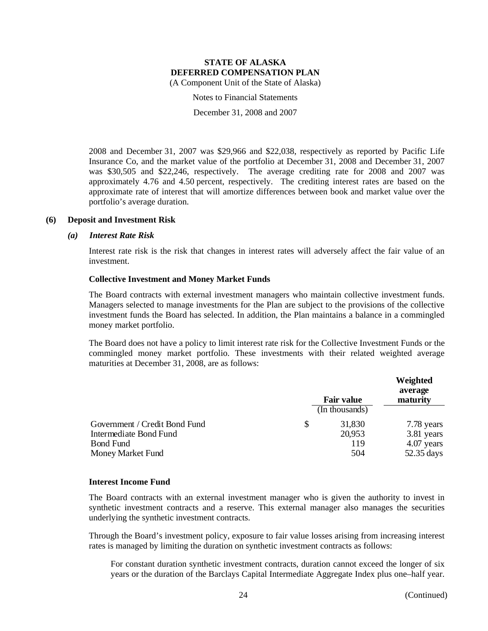Notes to Financial Statements

December 31, 2008 and 2007

2008 and December 31, 2007 was \$29,966 and \$22,038, respectively as reported by Pacific Life Insurance Co, and the market value of the portfolio at December 31, 2008 and December 31, 2007 was \$30,505 and \$22,246, respectively. The average crediting rate for 2008 and 2007 was approximately 4.76 and 4.50 percent, respectively. The crediting interest rates are based on the approximate rate of interest that will amortize differences between book and market value over the portfolio's average duration.

### **(6) Deposit and Investment Risk**

#### *(a) Interest Rate Risk*

Interest rate risk is the risk that changes in interest rates will adversely affect the fair value of an investment.

### **Collective Investment and Money Market Funds**

The Board contracts with external investment managers who maintain collective investment funds. Managers selected to manage investments for the Plan are subject to the provisions of the collective investment funds the Board has selected. In addition, the Plan maintains a balance in a commingled money market portfolio.

The Board does not have a policy to limit interest rate risk for the Collective Investment Funds or the commingled money market portfolio. These investments with their related weighted average maturities at December 31, 2008, are as follows:

|                               | <b>Fair value</b><br>(In thousands) | Weighted<br>average<br>maturity |            |
|-------------------------------|-------------------------------------|---------------------------------|------------|
| Government / Credit Bond Fund | S                                   | 31,830                          | 7.78 years |
| Intermediate Bond Fund        |                                     | 20,953                          | 3.81 years |
| <b>Bond Fund</b>              |                                     | 119                             | 4.07 years |
| Money Market Fund             |                                     | 504                             | 52.35 days |

#### **Interest Income Fund**

The Board contracts with an external investment manager who is given the authority to invest in synthetic investment contracts and a reserve. This external manager also manages the securities underlying the synthetic investment contracts.

Through the Board's investment policy, exposure to fair value losses arising from increasing interest rates is managed by limiting the duration on synthetic investment contracts as follows:

For constant duration synthetic investment contracts, duration cannot exceed the longer of six years or the duration of the Barclays Capital Intermediate Aggregate Index plus one–half year.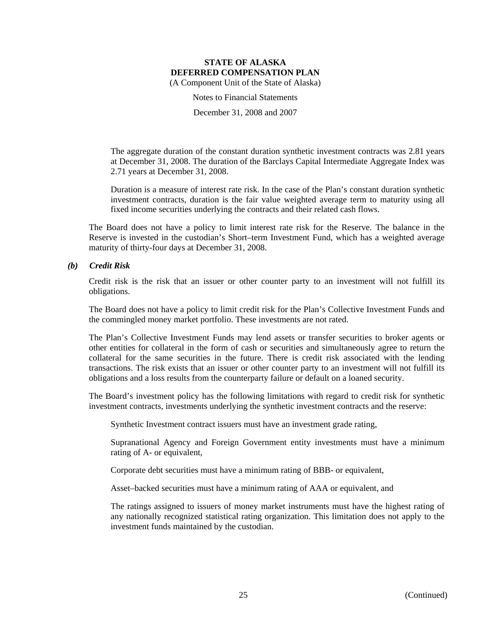Notes to Financial Statements

December 31, 2008 and 2007

The aggregate duration of the constant duration synthetic investment contracts was 2.81 years at December 31, 2008. The duration of the Barclays Capital Intermediate Aggregate Index was 2.71 years at December 31, 2008.

Duration is a measure of interest rate risk. In the case of the Plan's constant duration synthetic investment contracts, duration is the fair value weighted average term to maturity using all fixed income securities underlying the contracts and their related cash flows.

The Board does not have a policy to limit interest rate risk for the Reserve. The balance in the Reserve is invested in the custodian's Short–term Investment Fund, which has a weighted average maturity of thirty-four days at December 31, 2008.

### *(b) Credit Risk*

Credit risk is the risk that an issuer or other counter party to an investment will not fulfill its obligations.

The Board does not have a policy to limit credit risk for the Plan's Collective Investment Funds and the commingled money market portfolio. These investments are not rated.

The Plan's Collective Investment Funds may lend assets or transfer securities to broker agents or other entities for collateral in the form of cash or securities and simultaneously agree to return the collateral for the same securities in the future. There is credit risk associated with the lending transactions. The risk exists that an issuer or other counter party to an investment will not fulfill its obligations and a loss results from the counterparty failure or default on a loaned security.

The Board's investment policy has the following limitations with regard to credit risk for synthetic investment contracts, investments underlying the synthetic investment contracts and the reserve:

Synthetic Investment contract issuers must have an investment grade rating,

Supranational Agency and Foreign Government entity investments must have a minimum rating of A- or equivalent,

Corporate debt securities must have a minimum rating of BBB- or equivalent,

Asset–backed securities must have a minimum rating of AAA or equivalent, and

The ratings assigned to issuers of money market instruments must have the highest rating of any nationally recognized statistical rating organization. This limitation does not apply to the investment funds maintained by the custodian.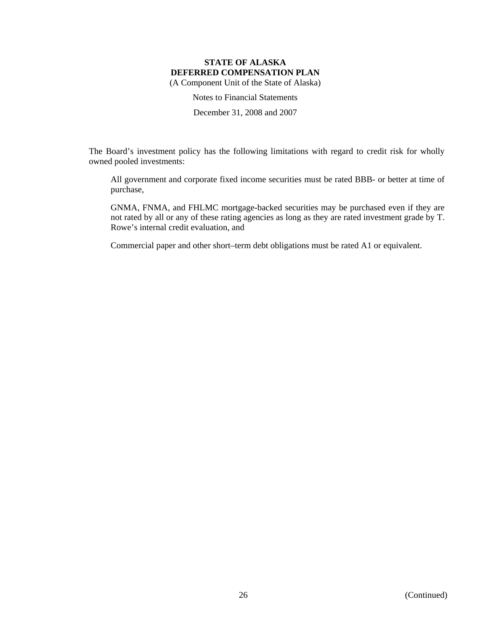Notes to Financial Statements

December 31, 2008 and 2007

The Board's investment policy has the following limitations with regard to credit risk for wholly owned pooled investments:

All government and corporate fixed income securities must be rated BBB- or better at time of purchase,

GNMA, FNMA, and FHLMC mortgage-backed securities may be purchased even if they are not rated by all or any of these rating agencies as long as they are rated investment grade by T. Rowe's internal credit evaluation, and

Commercial paper and other short–term debt obligations must be rated A1 or equivalent.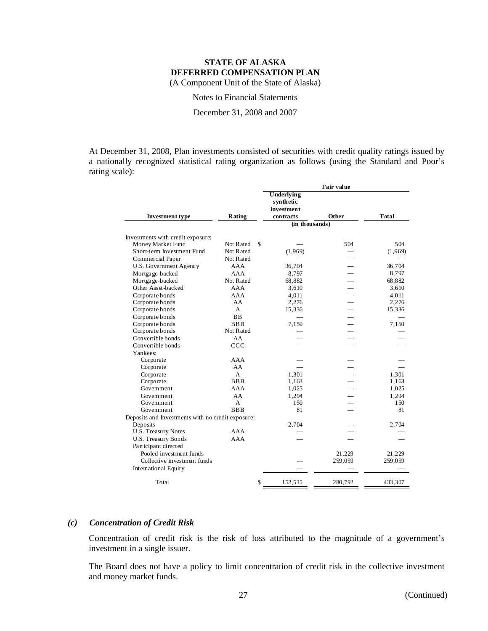Notes to Financial Statements

December 31, 2008 and 2007

At December 31, 2008, Plan investments consisted of securities with credit quality ratings issued by a nationally recognized statistical rating organization as follows (using the Standard and Poor's rating scale):

|                                                   |                 | Fair value                                         |                          |               |  |
|---------------------------------------------------|-----------------|----------------------------------------------------|--------------------------|---------------|--|
| <b>Investment type</b>                            | Rating          | Underlying<br>synthetic<br>investment<br>contracts | Other                    | <b>T</b> otal |  |
|                                                   |                 | $(in$ thousands)                                   |                          |               |  |
|                                                   |                 |                                                    |                          |               |  |
| Investments with credit exposure:                 |                 |                                                    |                          |               |  |
| Money Market Fund                                 | \$<br>Not Rated |                                                    | 504                      | 504           |  |
| Short-term Investment Fund                        | Not Rated       | (1,969)                                            |                          | (1,969)       |  |
| Commercial Paper                                  | Not Rated       |                                                    |                          |               |  |
| U.S. Government Agency                            | AAA             | 36,704                                             |                          | 36,704        |  |
| Mortgage-backed                                   | AAA             | 8,797                                              |                          | 8,797         |  |
| Mortgage-backed                                   | Not Rated       | 68,882                                             |                          | 68,882        |  |
| Other Asset-backed                                | AAA             | 3,610                                              |                          | 3,610         |  |
| Corporate bonds                                   | AAA             | 4,011                                              |                          | 4,011         |  |
| Corporate bonds                                   | AA              | 2,276                                              |                          | 2,276         |  |
| Corporate bonds                                   | A               | 15,336                                             | $\overline{\phantom{0}}$ | 15,336        |  |
| Corporate bonds                                   | <b>BB</b>       |                                                    |                          |               |  |
| Corporate bonds                                   | <b>BBB</b>      | 7,150                                              |                          | 7,150         |  |
| Corporate bonds                                   | Not Rated       |                                                    |                          |               |  |
| Convertible bonds                                 | AA              |                                                    |                          |               |  |
| Convertible bonds                                 | CCC             |                                                    |                          |               |  |
| Yankees:                                          |                 |                                                    |                          |               |  |
| Corporate                                         | AAA             |                                                    |                          |               |  |
| Corporate                                         | AA              |                                                    |                          |               |  |
| Corporate                                         | A               | 1,301                                              |                          | 1,301         |  |
| Corporate                                         | <b>BBB</b>      | 1,163                                              |                          | 1,163         |  |
| Government                                        | AAA             | 1,025                                              |                          | 1,025         |  |
| Government                                        | AA              | 1,294                                              |                          | 1,294         |  |
| Government                                        | A               | 150                                                |                          | 150           |  |
| Government                                        | <b>BBB</b>      | 81                                                 |                          | 81            |  |
| Deposits and Investments with no credit exposure: |                 |                                                    |                          |               |  |
| Deposits                                          |                 | 2,704                                              |                          | 2,704         |  |
| <b>U.S. Treasury Notes</b>                        | AAA             |                                                    |                          |               |  |
| <b>U.S. Treasury Bonds</b>                        | AAA             |                                                    |                          |               |  |
| Participant directed                              |                 |                                                    |                          |               |  |
| Pooled investment funds                           |                 |                                                    | 21,229                   | 21,229        |  |
| Collective investment funds                       |                 |                                                    | 259,059                  | 259,059       |  |
| <b>International Equity</b>                       |                 |                                                    |                          |               |  |
| Total                                             | \$              | 152,515                                            | 280,792                  | 433,307       |  |

### *(c) Concentration of Credit Risk*

Concentration of credit risk is the risk of loss attributed to the magnitude of a government's investment in a single issuer.

The Board does not have a policy to limit concentration of credit risk in the collective investment and money market funds.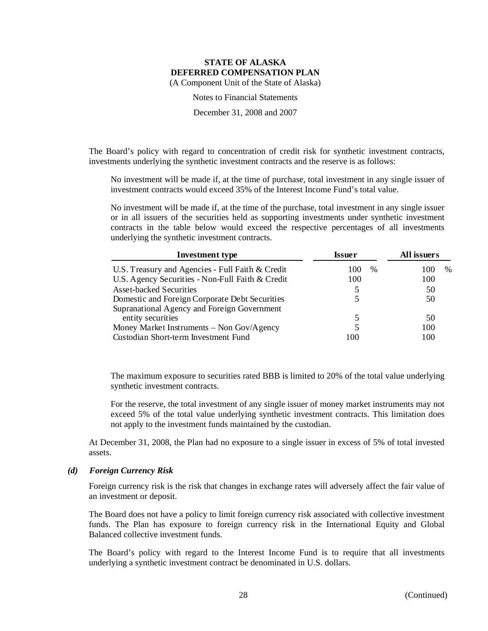Notes to Financial Statements

December 31, 2008 and 2007

The Board's policy with regard to concentration of credit risk for synthetic investment contracts, investments underlying the synthetic investment contracts and the reserve is as follows:

No investment will be made if, at the time of purchase, total investment in any single issuer of investment contracts would exceed 35% of the Interest Income Fund's total value.

No investment will be made if, at the time of the purchase, total investment in any single issuer or in all issuers of the securities held as supporting investments under synthetic investment contracts in the table below would exceed the respective percentages of all investments underlying the synthetic investment contracts.

| <b>Investment type</b>                           | <b>Issuer</b> | All issuers |  |
|--------------------------------------------------|---------------|-------------|--|
| U.S. Treasury and Agencies - Full Faith & Credit | $\%$<br>100   | $\%$<br>100 |  |
| U.S. Agency Securities - Non-Full Faith & Credit | 100           | 100         |  |
| Asset-backed Securities                          | 5             | 50          |  |
| Domestic and Foreign Corporate Debt Securities   |               | 50          |  |
| Supranational Agency and Foreign Government      |               |             |  |
| entity securities                                | 5             | 50          |  |
| Money Market Instruments – Non Gov/Agency        |               | 100         |  |
| Custodian Short-term Investment Fund             | 100           | 100         |  |

The maximum exposure to securities rated BBB is limited to 20% of the total value underlying synthetic investment contracts.

For the reserve, the total investment of any single issuer of money market instruments may not exceed 5% of the total value underlying synthetic investment contracts. This limitation does not apply to the investment funds maintained by the custodian.

At December 31, 2008, the Plan had no exposure to a single issuer in excess of 5% of total invested assets.

#### *(d) Foreign Currency Risk*

Foreign currency risk is the risk that changes in exchange rates will adversely affect the fair value of an investment or deposit.

The Board does not have a policy to limit foreign currency risk associated with collective investment funds. The Plan has exposure to foreign currency risk in the International Equity and Global Balanced collective investment funds.

The Board's policy with regard to the Interest Income Fund is to require that all investments underlying a synthetic investment contract be denominated in U.S. dollars.